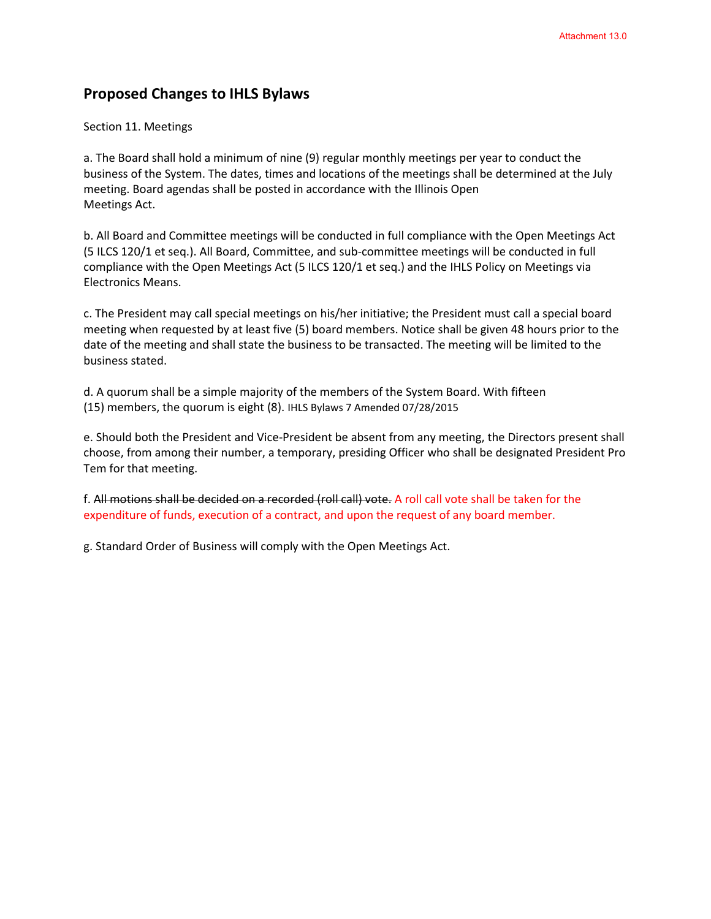## **Proposed Changes to IHLS Bylaws**

## Section 11. Meetings

a. The Board shall hold a minimum of nine (9) regular monthly meetings per year to conduct the business of the System. The dates, times and locations of the meetings shall be determined at the July meeting. Board agendas shall be posted in accordance with the Illinois Open Meetings Act.

b. All Board and Committee meetings will be conducted in full compliance with the Open Meetings Act (5 ILCS 120/1 et seq.). All Board, Committee, and sub-committee meetings will be conducted in full compliance with the Open Meetings Act (5 ILCS 120/1 et seq.) and the IHLS Policy on Meetings via Electronics Means.

c. The President may call special meetings on his/her initiative; the President must call a special board meeting when requested by at least five (5) board members. Notice shall be given 48 hours prior to the date of the meeting and shall state the business to be transacted. The meeting will be limited to the business stated.

d. A quorum shall be a simple majority of the members of the System Board. With fifteen (15) members, the quorum is eight (8). IHLS Bylaws 7 Amended 07/28/2015

e. Should both the President and Vice-President be absent from any meeting, the Directors present shall choose, from among their number, a temporary, presiding Officer who shall be designated President Pro Tem for that meeting.

f. All motions shall be decided on a recorded (roll call) vote. A roll call vote shall be taken for the expenditure of funds, execution of a contract, and upon the request of any board member.

g. Standard Order of Business will comply with the Open Meetings Act.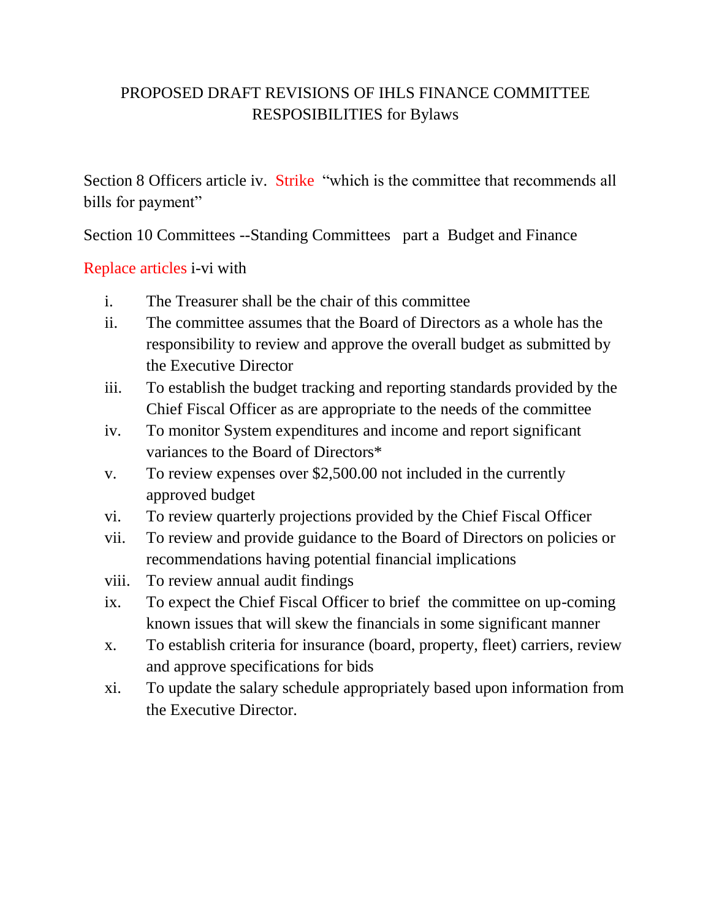## PROPOSED DRAFT REVISIONS OF IHLS FINANCE COMMITTEE RESPOSIBILITIES for Bylaws

Section 8 Officers article iv. Strike "which is the committee that recommends all bills for payment"

Section 10 Committees --Standing Committees part a Budget and Finance

Replace articles i-vi with

- i. The Treasurer shall be the chair of this committee
- ii. The committee assumes that the Board of Directors as a whole has the responsibility to review and approve the overall budget as submitted by the Executive Director
- iii. To establish the budget tracking and reporting standards provided by the Chief Fiscal Officer as are appropriate to the needs of the committee
- iv. To monitor System expenditures and income and report significant variances to the Board of Directors\*
- v. To review expenses over \$2,500.00 not included in the currently approved budget
- vi. To review quarterly projections provided by the Chief Fiscal Officer
- vii. To review and provide guidance to the Board of Directors on policies or recommendations having potential financial implications
- viii. To review annual audit findings
- ix. To expect the Chief Fiscal Officer to brief the committee on up-coming known issues that will skew the financials in some significant manner
- x. To establish criteria for insurance (board, property, fleet) carriers, review and approve specifications for bids
- xi. To update the salary schedule appropriately based upon information from the Executive Director.